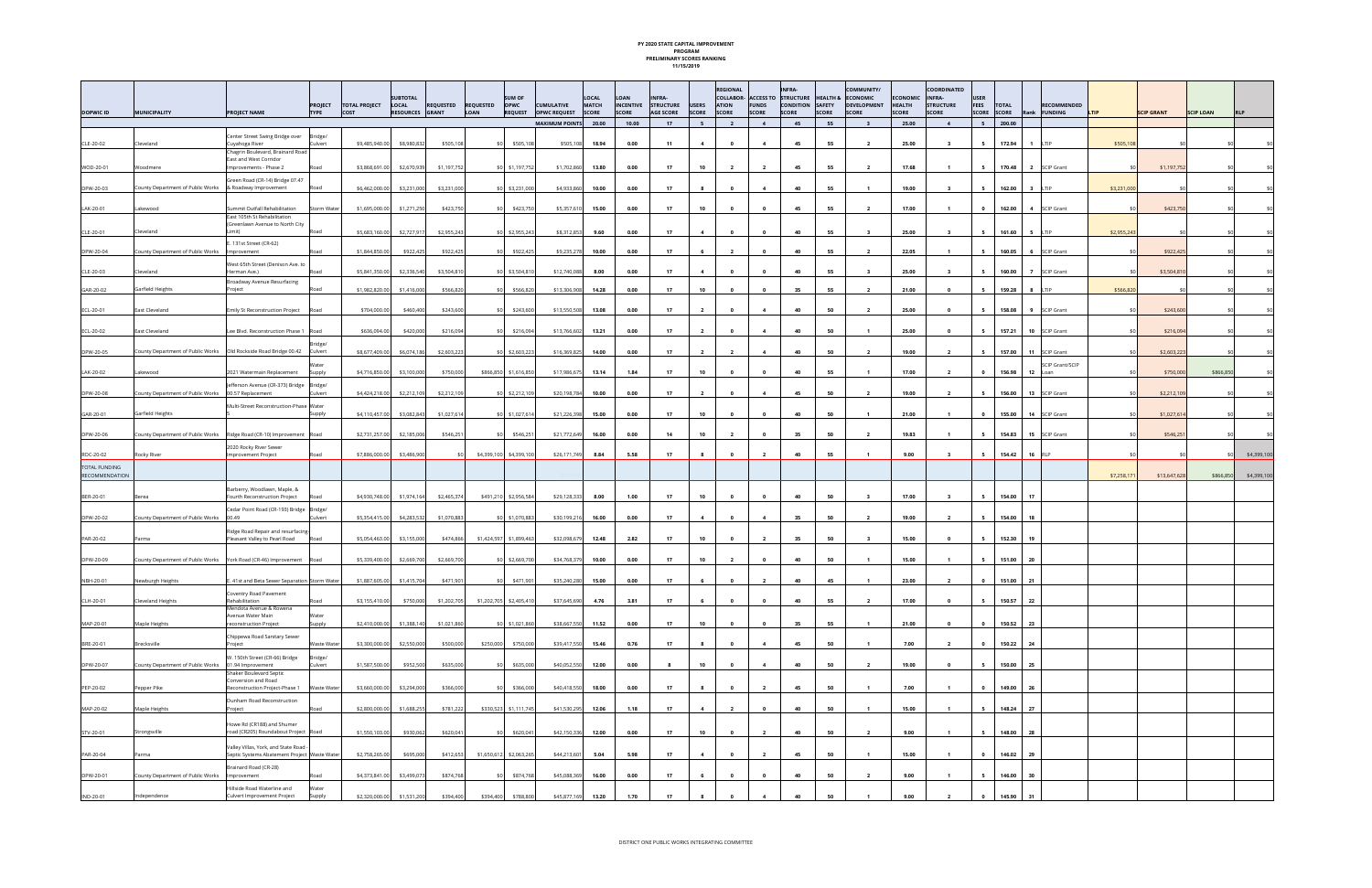## **PY 2020 STATE CAPITAL IMPROVEMENT PROGRAM PRELIMINARY SCORES RANKING 11/15/2019**

| <b>DOPWIC ID</b>                       | <b>MUNICIPALITY</b>                                                     | <b>PROJECT NAME</b>                                                                  | <b>PROJECT</b><br><b>TYPE</b> | <b>TOTAL PROJECT</b><br>COST | <b>SUBTOTAL</b><br>LOCAL<br>RESOURCES GRANT | <b>REQUESTED</b> | <b>SUM OF</b><br><b>REQUESTED</b><br><b>OPWC</b><br><b>LOAN</b> | <b>REQUEST</b>  | <b>CUMULATIVE</b><br>OPWC REQUEST SCORE | LOCAL<br><b>MATCH</b> | LOAN<br><b>INCENTIVE</b><br>SCORE | <b>INFRA-</b><br><b>STRUCTURE</b><br><b>AGE SCORE</b> | <b>USERS</b><br><b>SCORE</b> | <b>REGIONAL</b><br><b>ATION</b><br><b>SCORE</b> | <b>FUNDS</b><br><b>SCORE</b> | <b>INFRA-</b><br>COLLABOR- ACCESS TO STRUCTURE<br>CONDITION SAFETY<br><b>SCORE</b> | <b>SCORE</b> | <b>COMMUNITY/</b><br><b>HEALTH &amp; ECONOMIC</b><br><b>DEVELOPMENT</b><br><b>SCORE</b> | ECONOMIC INFRA-<br><b>HEALTH</b><br>SCORE | COORDINATED<br><b>STRUCTURE</b><br><b>SCORE</b> | <b>USER</b><br><b>FEES</b><br>SCORE SCORE | <b>TOTAL</b>                      | <b>RECOMMENDED</b><br>Rank <b>FUNDING</b> | LTIP        | <b>SCIP GRANT</b> | <b>SCIP LOAN</b> | <b>RLP</b>          |
|----------------------------------------|-------------------------------------------------------------------------|--------------------------------------------------------------------------------------|-------------------------------|------------------------------|---------------------------------------------|------------------|-----------------------------------------------------------------|-----------------|-----------------------------------------|-----------------------|-----------------------------------|-------------------------------------------------------|------------------------------|-------------------------------------------------|------------------------------|------------------------------------------------------------------------------------|--------------|-----------------------------------------------------------------------------------------|-------------------------------------------|-------------------------------------------------|-------------------------------------------|-----------------------------------|-------------------------------------------|-------------|-------------------|------------------|---------------------|
|                                        |                                                                         |                                                                                      |                               |                              |                                             |                  |                                                                 |                 | <b>MAXIMUM POINTS</b>                   | 20.00                 | 10.00                             | 17                                                    | 5                            | $\overline{2}$                                  | $\overline{4}$               | 45                                                                                 | 55           | $\overline{\mathbf{3}}$                                                                 | 25.00                                     | $\overline{4}$                                  | 5                                         | 200.00                            |                                           |             |                   |                  |                     |
| CLE-20-02                              | Cleveland                                                               | Center Street Swing Bridge over<br>Cuyahoga River                                    | Bridge/<br>Culvert            | \$9,485,940.00               | \$8,980,832                                 | \$505,108        |                                                                 | \$0 \$505,108   | \$505,108                               | 18.94                 | 0.00                              | 11                                                    | $\overline{4}$               | $\mathbf{0}$                                    | $\overline{4}$               | 45                                                                                 | 55           | $\overline{2}$                                                                          | 25.00                                     | $\overline{\mathbf{3}}$                         | 5                                         | 172.94                            | $1$ $1$ $T$ $P$                           | \$505,108   |                   |                  |                     |
| WOD-20-01                              | Woodmere                                                                | Chagrin Boulevard, Brainard Road<br>East and West Corridor<br>Improvements - Phase 2 | Road                          | \$3,868,691.00               | \$2,670,939                                 | \$1,197,752      |                                                                 | \$0 \$1,197,752 | \$1,702,860                             | 13.80                 | 0.00                              | 17                                                    | 10                           | $\overline{2}$                                  | $\overline{2}$               | 45                                                                                 | 55           | $\overline{2}$                                                                          | 17.68                                     | $\overline{1}$                                  | 5                                         | 170.48                            | 2 SCIP Grant                              |             | \$1,197,752       |                  |                     |
| DPW-20-03                              | County Department of Public Works                                       | Green Road (CR-14) Bridge 07.47<br>& Roadway Improvement                             | Road                          | \$6,462,000.00               | \$3,231,000                                 | \$3,231,000      | \$0 \$3,231,000                                                 |                 | \$4,933,860                             | 10.00                 | 0.00                              | 17                                                    | 8                            | $\bullet$                                       | $\overline{4}$               | 40                                                                                 | 55           | $\overline{\mathbf{1}}$                                                                 | 19.00                                     | $\overline{\mathbf{3}}$                         | 5                                         | 162.00<br>$\overline{\mathbf{3}}$ | LTIP                                      | \$3,231,000 |                   |                  |                     |
| LAK-20-01                              | Lakewood                                                                | Summit Outfall Rehabilitation                                                        | Storm Water                   | \$1,695,000.00               | \$1,271,250                                 | \$423,750        | \$0 \$423,750                                                   |                 | \$5,357,610                             | 15.00                 | 0.00                              | 17                                                    | 10                           | $\bullet$                                       | $\mathbf{0}$                 | 45                                                                                 | 55           | $\overline{2}$                                                                          | 17.00                                     | $\overline{1}$                                  | $\bullet$                                 | 162.00                            | 4 SCIP Grant                              |             | \$423,750         |                  |                     |
| CLE-20-01                              | Cleveland                                                               | East 105th St Rehabilitation<br>(Greenlawn Avenue to North City<br>.imit)            | Road                          | \$5,683,160.00               | \$2,727,917                                 | \$2,955,243      | \$0 \$2,955,243                                                 |                 | \$8,312,853                             | 9.60                  | 0.00                              | 17                                                    | $\overline{\mathbf{4}}$      | $\bullet$                                       | $\mathbf{0}$                 | 40                                                                                 | 55           | $\overline{\mathbf{3}}$                                                                 | 25.00                                     | $\overline{\mathbf{3}}$                         | 5                                         | 161.60<br>5                       | LTIP                                      | \$2,955,243 |                   |                  |                     |
| DPW-20-04                              | County Department of Public Works                                       | . 131st Street (CR-62)<br>Improvement                                                | Road                          | \$1,844,850.00               | \$922,425                                   | \$922,425        |                                                                 | \$0 \$922,425   | \$9,235,278                             | 10.00                 | 0.00                              | 17                                                    | 6                            | $\overline{2}$                                  | $\mathbf{0}$                 | 40                                                                                 | 55           | $\overline{2}$                                                                          | 22.05                                     | $\overline{1}$                                  | 5                                         | 160.05                            | 6 SCIP Grant                              |             | \$922,425         |                  |                     |
| CLE-20-03                              | Cleveland                                                               | West 65th Street (Denison Ave. to<br>Herman Ave.)                                    | Road                          | \$5,841,350.00               | \$2,336,540                                 | \$3,504,810      | \$0 \$3,504,810                                                 |                 | \$12,740,088                            | 8.00                  | 0.00                              | 17                                                    | $\overline{4}$               | $\mathbf{0}$                                    | $\mathbf{0}$                 | 40                                                                                 | 55           | $\overline{\mathbf{3}}$                                                                 | 25.00                                     | $\overline{\mathbf{3}}$                         | - 5                                       | 160.00                            | 7 SCIP Grant                              |             | \$3,504,810       |                  |                     |
| GAR-20-02                              | Garfield Heights                                                        | Broadway Avenue Resurfacing<br>Project                                               | Road                          | \$1,982,820.00               | \$1,416,000                                 | \$566,820        | \$0                                                             | \$566,820       | \$13,306,908                            | 14.28                 | 0.00                              | 17                                                    | 10                           | $\bullet$                                       | $\mathbf{0}$                 | 35                                                                                 | 55           | $\overline{2}$                                                                          | 21.00                                     | $\mathbf{0}$                                    | 5                                         | 159.28                            | 8 LTIP                                    | \$566,820   |                   |                  |                     |
| ECL-20-01                              | East Cleveland                                                          | Emily St Reconstruction Project                                                      | Road                          | \$704,000.00                 | \$460,400                                   | \$243,600        |                                                                 | \$0 \$243,600   | \$13,550,508                            | 13.08                 | 0.00                              | 17                                                    | $\overline{2}$               | $\overline{\mathbf{0}}$                         | $\overline{4}$               | 40                                                                                 | 50           | $\overline{2}$                                                                          | 25.00                                     | $\mathbf{0}$                                    | 5                                         | 158.08                            | 9 SCIP Grant                              |             | \$243,600         |                  |                     |
| ECL-20-02                              | East Cleveland                                                          | Lee Blvd. Reconstruction Phase 1 Road                                                |                               | \$636,094.00                 | \$420,000                                   | \$216,094        |                                                                 | \$0 \$216,094   | \$13,766,602                            | 13.21                 | 0.00                              | 17                                                    | $\overline{2}$               | $\overline{\mathbf{0}}$                         | $\overline{\mathbf{4}}$      | 40                                                                                 | 50           | $\overline{1}$                                                                          | 25.00                                     | $\overline{\mathbf{0}}$                         | $5^{\circ}$                               | 157.21 10 SCIP Grant              |                                           |             | \$216,094         |                  |                     |
| DPW-20-05                              |                                                                         |                                                                                      | Culvert                       | \$8,677,409.00               | \$6,074,186                                 | \$2,603,223      | \$0 \$2,603,223                                                 |                 | \$16,369,825                            | 14.00                 | 0.00                              | 17                                                    | $\overline{2}$               | $\overline{2}$                                  | $\overline{4}$               | 40                                                                                 | 50           | $\overline{2}$                                                                          | 19.00                                     | $\overline{\mathbf{2}}$                         | 5                                         | 157.00                            | 11 SCIP Grant                             |             | \$2,603,223       |                  |                     |
| LAK-20-02                              | Lakewood                                                                | 2021 Watermain Replacement                                                           | Supply                        | \$4,716,850.00               | \$3,100,000                                 | \$750,000        | \$866,850 \$1,616,850                                           |                 | \$17,986,675                            | 13.14                 | 1.84                              | 17                                                    | 10                           | $\Omega$                                        | $\mathbf 0$                  | 40                                                                                 | 55           |                                                                                         | 17.00                                     | $\overline{2}$                                  | $\overline{\mathbf{0}}$                   | 156.98                            | SCIP Grant/SCIP<br>12 Loan                |             | \$750,000         | \$866,850        |                     |
| DPW-20-08                              | County Department of Public Works                                       | efferson Avenue (CR-373) Bridge<br>00.57 Replacement                                 | Bridge/<br>Culvert            | \$4,424,218.00               | \$2,212,109                                 | \$2,212,109      | \$0 \$2,212,109                                                 |                 | \$20,198,784                            | 10.00                 | 0.00                              | 17                                                    | $\overline{2}$               | $\mathbf{0}$                                    | $\overline{4}$               | 45                                                                                 | 50           | $\overline{2}$                                                                          | 19.00                                     | $\overline{\mathbf{2}}$                         | 5                                         | 156.00                            | 13 SCIP Grant                             |             | \$2,212,109       |                  |                     |
| GAR-20-01                              | Garfield Heights                                                        | Multi-Street Reconstruction-Phase Water                                              | Supply                        | \$4,110,457.00               | \$3,082,843                                 | \$1,027,614      |                                                                 | \$0 \$1,027,614 | \$21,226,398                            | 15.00                 | 0.00                              | 17                                                    | 10                           | $\bullet$                                       | $\mathbf 0$                  | 40                                                                                 | 50           |                                                                                         | 21.00                                     | $\mathbf{1}$                                    | $\bullet$                                 | 155.00                            | 14 SCIP Grant                             |             | \$1,027,614       |                  |                     |
| DPW-20-06                              | County Department of Public Works  Ridge Road (CR-10) Improvement  Road |                                                                                      |                               | \$2,731,257.00               | \$2,185,006                                 | \$546,251        | \$0 \$546,251                                                   |                 | \$21,772,649                            | 16.00                 | 0.00                              | 14                                                    | 10                           | $\overline{2}$                                  | $\mathbf{0}$                 | 35                                                                                 | 50           | $\overline{2}$                                                                          | 19.83                                     | $\overline{1}$                                  | 5                                         | 154.83                            | 15 SCIP Grant                             |             | \$546,251         |                  |                     |
| ROC-20-02                              | Rocky River                                                             | 2020 Rocky River Sewer<br><b>Improvement Project</b>                                 |                               | \$7,886,000.00               | \$3,486,900                                 |                  | \$4,399,100 \$4,399,100                                         |                 | \$26,171,749                            | 8.84                  | 5.58                              | 17                                                    |                              |                                                 |                              | 40                                                                                 | 55           |                                                                                         | 9.00                                      | - 3                                             |                                           | 154.42<br>16                      |                                           |             |                   |                  | \$4,399,100<br>\$01 |
| <b>TOTAL FUNDING</b><br>RECOMMENDATION |                                                                         |                                                                                      |                               |                              |                                             |                  |                                                                 |                 |                                         |                       |                                   |                                                       |                              |                                                 |                              |                                                                                    |              |                                                                                         |                                           |                                                 |                                           |                                   |                                           | \$7,258,171 | \$13,647,628      | \$866,850        | \$4,399,100         |
| BER-20-01                              | Berea                                                                   | Barberry, Woodlawn, Maple, &<br>Fourth Reconstruction Project                        | Road                          | \$4,930,748.00               | \$1,974,164                                 | \$2,465,374      | \$491,210 \$2,956,584                                           |                 | \$29,128,333                            | 8.00                  | 1.00                              | 17                                                    | 10                           | $\mathbf{0}$                                    | $\mathbf{0}$                 | 40                                                                                 | 50           | $\overline{\mathbf{3}}$                                                                 | 17.00                                     | $\overline{\mathbf{3}}$                         | 5                                         | 154.00<br>17                      |                                           |             |                   |                  |                     |
| DPW-20-02                              | County Department of Public Works                                       | Cedar Point Road (CR-193) Bridge Bridge/<br>00.49                                    | Culvert                       | \$5,354,415.00               | \$4,283,532                                 | \$1,070,883      |                                                                 | \$0 \$1,070,883 | \$30,199,216                            | 16.00                 | 0.00                              | 17                                                    | $\overline{4}$               | $\bullet$                                       | $\overline{4}$               | 35                                                                                 | 50           | $\overline{2}$                                                                          | 19.00                                     | $\overline{2}$                                  | $5^{\circ}$                               | 154.00<br>18                      |                                           |             |                   |                  |                     |
| PAR-20-02                              | Parma                                                                   | Ridge Road Repair and resurfacing-<br>Pleasant Valley to Pearl Road                  | Road                          | \$5,054,463.00               | \$3,155,000                                 | \$474,866        | \$1,424,597 \$1,899,463                                         |                 | \$32,098,679                            | 12.48                 | 2.82                              | 17                                                    | 10                           | $\bullet$                                       | $\overline{\mathbf{2}}$      | 35                                                                                 | 50           | $\overline{\mathbf{3}}$                                                                 | 15.00                                     | $\bullet$                                       | 5 <sub>5</sub>                            | 152.30<br>19                      |                                           |             |                   |                  |                     |
| DPW-20-09                              | County Department of Public Works York Road (CR-46) Improvement Road    |                                                                                      |                               | \$5,339,400.00               | \$2,669,700                                 | \$2,669,700      |                                                                 | \$0 \$2,669,700 | \$34,768,379                            | 10.00                 | 0.00                              | 17                                                    | 10                           | $\overline{2}$                                  | $\overline{\mathbf{0}}$      | 40                                                                                 | 50           | $\overline{1}$                                                                          | 15.00                                     | $\mathbf{1}$                                    | 5 <sub>1</sub>                            | 151.00 20                         |                                           |             |                   |                  |                     |
| NBH-20-01                              | Newburgh Heights                                                        | E. 41st and Beta Sewer Separation Storm Water                                        |                               | \$1,887,605.00               | \$1,415,704                                 | \$471,901        | \$0                                                             | \$471.901       | \$35,240,280                            | 15.00                 | 0.00                              | 17                                                    |                              |                                                 |                              |                                                                                    |              |                                                                                         | 23.00                                     | $\overline{2}$                                  | $\mathbf{0}$                              | 151.00<br>21                      |                                           |             |                   |                  |                     |
| CLH-20-01                              | Cleveland Heights                                                       | Coventry Road Pavement<br>Rehabilitation<br>Mendota Avenue & Rowena                  | Road                          | \$3,155,410.00               | \$750,000                                   | \$1,202,705      | \$1,202,705 \$2,405,410                                         |                 | \$37,645,690                            | 4.76                  | 3.81                              | 17                                                    | 6                            | $\bullet$                                       | $\bullet$                    | 40                                                                                 | 55           | $\overline{2}$                                                                          | 17.00                                     | $\mathbf{0}$                                    | 5                                         | 150.57<br>22                      |                                           |             |                   |                  |                     |
| MAP-20-01                              | Maple Heights                                                           | Avenue Water Main<br>reconstruction Project                                          | Water<br>Supply               |                              | \$2,410,000.00 \$1,388,140                  | \$1,021,860      | \$0 \$1,021,860                                                 |                 | \$38,667,550                            | 11.52                 | 0.00                              | 17 <sub>2</sub>                                       | 10                           | $\bullet$                                       | $\overline{\mathbf{0}}$      | 35                                                                                 | 55           | $\overline{\mathbf{1}}$                                                                 | 21.00                                     | $\overline{\mathbf{0}}$                         | $\mathbf{0}$                              | 150.52 23                         |                                           |             |                   |                  |                     |
| BRE-20-01                              | Brecksville                                                             | Chippewa Road Sanitary Sewer<br>Project                                              | Waste Water                   | \$3,300,000.00               | \$2,550,000                                 | \$500,000        | \$250,000 \$750,000                                             |                 | \$39,417,550                            | 15.46                 | 0.76                              | 17                                                    | 8                            | $\bullet$                                       | $\overline{4}$               | 45                                                                                 | 50           | $\overline{\mathbf{1}}$                                                                 | 7.00                                      | $\overline{2}$                                  | $\bullet$                                 | 150.22<br>24                      |                                           |             |                   |                  |                     |
| DPW-20-07                              | County Department of Public Works                                       | V. 150th Street (CR-66) Bridge<br>01.94 Improvement<br>Shaker Boulevard Septic       | Bridge/<br>Culvert            | \$1,587,500.00               | \$952,500                                   | \$635,000        |                                                                 | \$0 \$635,000   | \$40,052,550                            | 12.00                 | 0.00                              | -8                                                    | 10                           | $\Omega$                                        | $\overline{4}$               | 40                                                                                 | 50           | $\overline{2}$                                                                          | 19.00                                     | $\mathbf{0}$                                    | 5                                         | 150.00<br>25                      |                                           |             |                   |                  |                     |
| PEP-20-02                              | Pepper Pike                                                             | Conversion and Road<br>Reconstruction Project-Phase 1                                | Waste Water                   | \$3,660,000.00               | \$3,294,000                                 | \$366,000        | \$0 \$366,000                                                   |                 | \$40,418,550                            | 18.00                 | 0.00                              | 17                                                    | 8                            | $\overline{\mathbf{0}}$                         | $\overline{\mathbf{2}}$      | 45                                                                                 | 50           | $\overline{\mathbf{1}}$                                                                 | 7.00                                      | $\overline{1}$                                  | $\bullet$                                 | 149.00 26                         |                                           |             |                   |                  |                     |
| MAP-20-02                              | Maple Heights                                                           | Dunham Road Reconstruction<br>Project                                                | Road                          | \$2,800,000.00               | \$1,688,255                                 | \$781,222        | \$330,523 \$1,111,745                                           |                 | \$41,530,295                            | 12.06                 | 1.18                              | 17                                                    | $\overline{4}$               | $\overline{2}$                                  | $\bf{0}$                     | 40                                                                                 | 50           | $\overline{\mathbf{1}}$                                                                 | 15.00                                     | $\overline{1}$                                  | 5                                         | 148.24<br>27                      |                                           |             |                   |                  |                     |
| STV-20-01                              | Strongsville                                                            | Howe Rd (CR188) and Shumer<br>road (CR205) Roundabout Project Road                   |                               | \$1,550,103.00               | \$930,062                                   | \$620,041        | \$0 \$620,04                                                    |                 | \$42,150,336                            | 12.00                 | 0.00                              | 17                                                    | 10                           | $\bullet$                                       | $\overline{2}$               | 40                                                                                 | 50           | $\overline{2}$                                                                          | 9.00                                      | $\overline{1}$                                  | 5                                         | 148.00<br>28                      |                                           |             |                   |                  |                     |
| PAR-20-04                              | Parma                                                                   | Valley Villas, York, and State Road<br>Septic Systems Abatement Project Waste Water  |                               | \$2,758,265.00               | \$695,000                                   | \$412,653        | \$1,650,612 \$2,063,265                                         |                 | \$44,213,601                            | 5.04                  | 5.98                              | 17                                                    | $\overline{\mathbf{4}}$      | $\overline{\mathbf{0}}$                         | $\overline{\mathbf{2}}$      | 45                                                                                 | 50           | $\blacksquare$                                                                          | 15.00                                     | $\overline{1}$                                  | $\bullet$                                 | 146.02 29                         |                                           |             |                   |                  |                     |
| DPW-20-01                              | County Department of Public Works   Improvement                         | Brainard Road (CR-28)                                                                | Road                          | \$4,373,841.00               | \$3,499,073                                 | \$874,768        |                                                                 | \$0 \$874,768   | \$45,088,369                            | 16.00                 | 0.00                              | 17                                                    | 6                            | $\bullet$                                       | $\mathbf{0}$                 | 40                                                                                 | 50           | $\overline{2}$                                                                          | 9.00                                      | $\overline{1}$                                  | 5                                         | 146.00<br>30                      |                                           |             |                   |                  |                     |
| IND-20-01                              | Independence                                                            | Hillside Road Waterline and<br>Culvert Improvement Project                           | Water<br>Supply               | \$2,320,000.00               | \$1,531,200                                 | \$394,400        | \$394,400 \$788,800                                             |                 | \$45,877,169                            | 13.20                 | 1.70                              | 17                                                    | 8                            | $\Omega$                                        |                              | 40                                                                                 | 50           |                                                                                         | 9.00                                      | $\overline{2}$                                  | $\bullet$                                 | 145.90<br>31                      |                                           |             |                   |                  |                     |